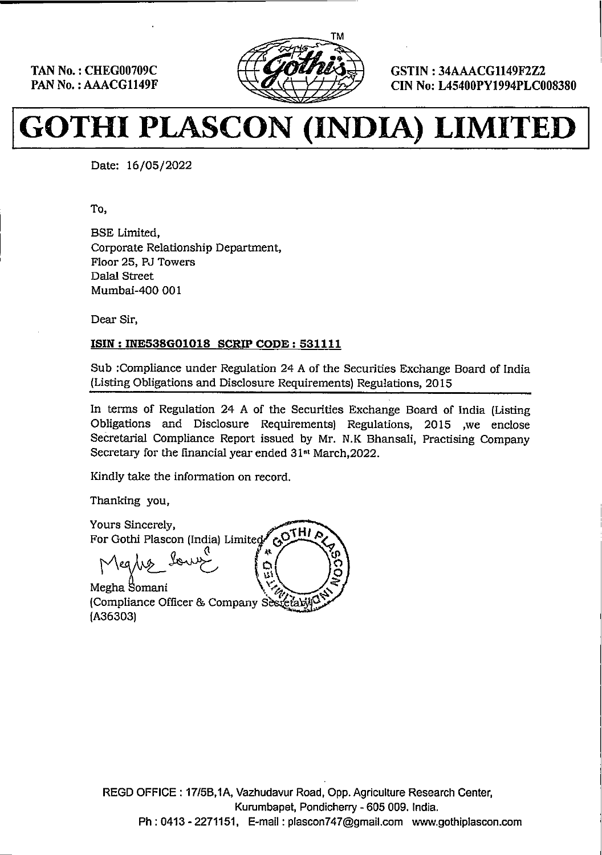TAN No. : CHEG00709C PAN No. : AAACG1149F



GSTIN : 34AAACG1149F2Z2 CIN No: L45400PY1994PLC008380

. .

# TAN No.: CHEGO0709C<br>PAN No.: AAACG1149F<br>**GOTHI PLASCON**

Date: 16/05/2022

To,

BSE Limited, Corporate Relationship Department, Floor 25, PU Towers Dalal Street Mumbai-400 001 CHEGO0709C<br>
MACG1149F<br>
Date: 16/05/2022<br>
To,<br>
Date: 16/05/2022<br>
To,<br>
BSE Limited,<br>
Corporate Relationship Department,<br>
Floor 25, RJ Towers<br>
Dalal Street<br>
Mumbai-400 001<br>
Dear Sir,<br>
ISIN : INE538G01018 SCRIP CODE : 53<br>
Sub

Dear Sir,

### ISIN : INE538G01018 SCRIP CODE: 531111

Sub :Compliance under Regulation 24 A of the Securities Exchange Board of India (Listing Obligations and Disclosure Requirements) Regulations, 2015

In terms of Regulation 24 A of the Securities Exchange Board of India (Listing Obligations and Disclosure Requirements) Regulations, 2015 ,we enclose Secretarial Compliance Report issued by Mr. N.K Bhansali, Practising Company Secretary for the financial year ended 31% March,2022.

Kindly take the information on record.

Thanking you,

Yours Sincerely, For Gothi Plascon (India) Limite<br>|<br>| مردیدی کل اسلامی Meglis bours 

(Compliance Officer & Company Sestetably) {A36303)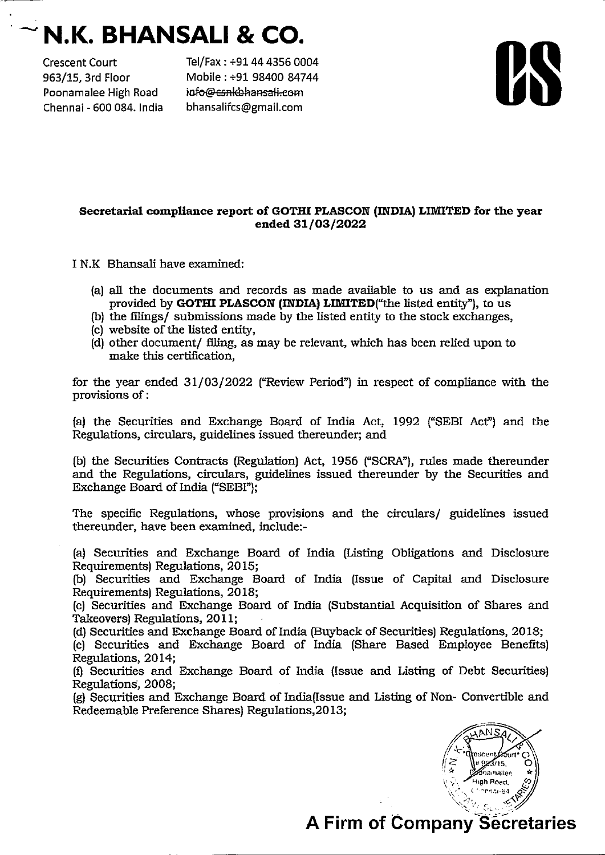# $\sim$  N.K. BHANSALI & CO.

Poonamalee High Road info@esnkbhansali.com Chennai - 600 084. India bhansalifcs@gmail.com

Crescent Court Tel/Fax : +91 44 4356 0004 963/15, 3rd Floor Mobile : +91 98400 84744

## Secretarial compliance report of GOTHI PLASCON (INDIA) LIMITED for the year ended 31/03/2022

IN.K Bhansali have examined:

- {a) all the documents and records as made available to us and as explanation provided by GOTHI PLASCON (INDIA) LIMITED ("the listed entity"), to us
- (b) the filings/ submissions made by the listed entity to the stock exchanges,
- (c) website of the listed entity,
- {d) other document/ filing, as may be relevant, which has been relied upon to make this certification,

for the year ended 31/03/2022 ("Review Period") in respect of compliance with the provisions of :

(a) the Securities and Exchange Board of India Act, 1992 ("SEBI Act") and the Regulations, circulars, guidelines issued thereunder; and

(b) the Securities Contracts (Regulation) Act, 1956 ("SCRA"), rules made thereunder and the Regulations, circulars, guidelines issued thereunder by the Securities and Exchange Board of India ("SEBI"};

The specific Regulations, whose provisions and the circulars/ guidelines issued thereunder, have been examined, include:-

(a) Securities and Exchange Board of India (Listing Obligations and Disclosure Requirements) Regulations, 2015;

(b) Securities and Exchange Board of India (issue of Capital and Disclosure Requirements) Regulations, 2018;

(c) Securities and Exchange Board of India (Substantial Acquisition of Shares and Takeovers) Regulations, 2011;

(d) Securities and Exchange Board of India (Buyback of Securities) Regulations, 2018;

(e) Securities and Exchange Board of India (Share Based Employee Benefits) Regulations, 2014;

(f)} Securities and Exchange Board of India (Issue and Listing of Debt Securities) Regulations, 2008;

{g) Securities and Exchange Board of India(Issue and Listing of Non- Convertible and Redeemable Preference Shares) Regulations,2013;



# **A Firm of Company Secretaries**